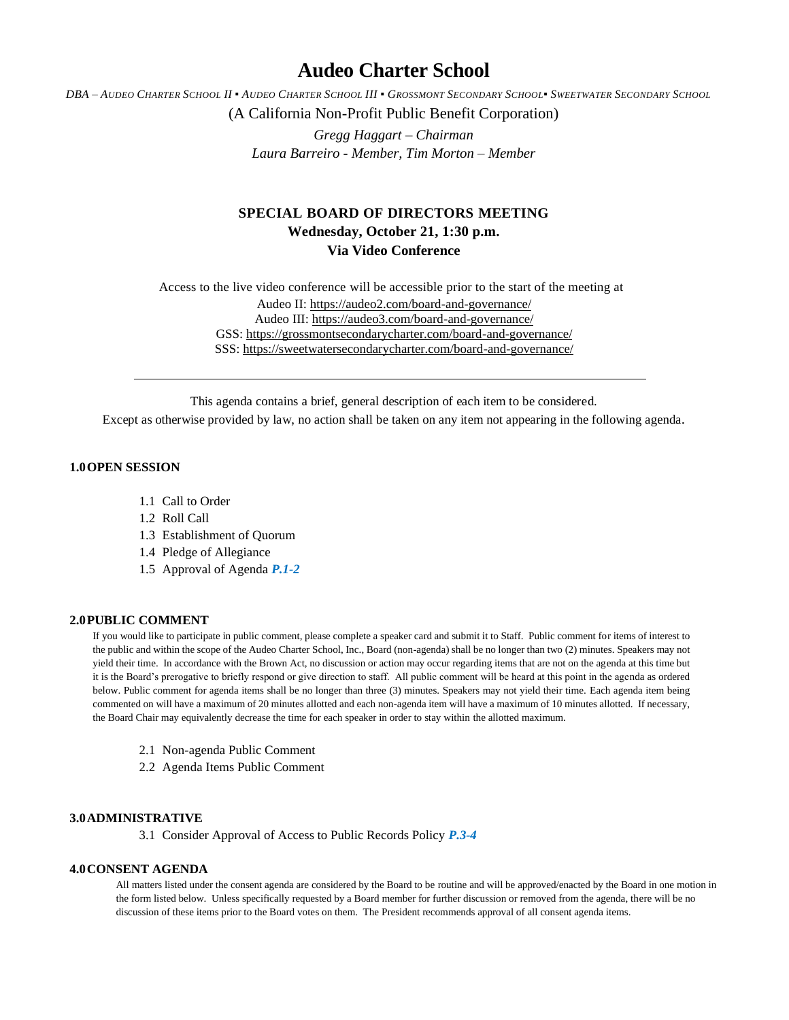# **Audeo Charter School**

DBA - AUDEO CHARTER SCHOOL II . AUDEO CHARTER SCHOOL III . GROSSMONT SECONDARY SCHOOL. SWEETWATER SECONDARY SCHOOL

(A California Non-Profit Public Benefit Corporation)

*Gregg Haggart – Chairman Laura Barreiro - Member, Tim Morton – Member*

## **SPECIAL BOARD OF DIRECTORS MEETING Wednesday, October 21, 1:30 p.m. Via Video Conference**

Access to the live video conference will be accessible prior to the start of the meeting at Audeo II[: https://audeo2.com/board-and-governance/](https://audeo2.com/board-and-governance/) Audeo III:<https://audeo3.com/board-and-governance/> GSS:<https://grossmontsecondarycharter.com/board-and-governance/> SSS:<https://sweetwatersecondarycharter.com/board-and-governance/>

This agenda contains a brief, general description of each item to be considered.

Except as otherwise provided by law, no action shall be taken on any item not appearing in the following agenda.

### **1.0OPEN SESSION**

- 1.1 Call to Order
- 1.2 Roll Call
- 1.3 Establishment of Quorum
- 1.4 Pledge of Allegiance
- 1.5 Approval of Agenda *P.1-2*

### **2.0PUBLIC COMMENT**

If you would like to participate in public comment, please complete a speaker card and submit it to Staff. Public comment for items of interest to the public and within the scope of the Audeo Charter School, Inc., Board (non-agenda) shall be no longer than two (2) minutes. Speakers may not yield their time. In accordance with the Brown Act, no discussion or action may occur regarding items that are not on the agenda at this time but it is the Board's prerogative to briefly respond or give direction to staff. All public comment will be heard at this point in the agenda as ordered below. Public comment for agenda items shall be no longer than three (3) minutes. Speakers may not yield their time. Each agenda item being commented on will have a maximum of 20 minutes allotted and each non-agenda item will have a maximum of 10 minutes allotted. If necessary, the Board Chair may equivalently decrease the time for each speaker in order to stay within the allotted maximum.

- 2.1 Non-agenda Public Comment
- 2.2 Agenda Items Public Comment

### **3.0ADMINISTRATIVE**

3.1 Consider Approval of Access to Public Records Policy *P.3-4*

### **4.0CONSENT AGENDA**

All matters listed under the consent agenda are considered by the Board to be routine and will be approved/enacted by the Board in one motion in the form listed below. Unless specifically requested by a Board member for further discussion or removed from the agenda, there will be no discussion of these items prior to the Board votes on them. The President recommends approval of all consent agenda items.